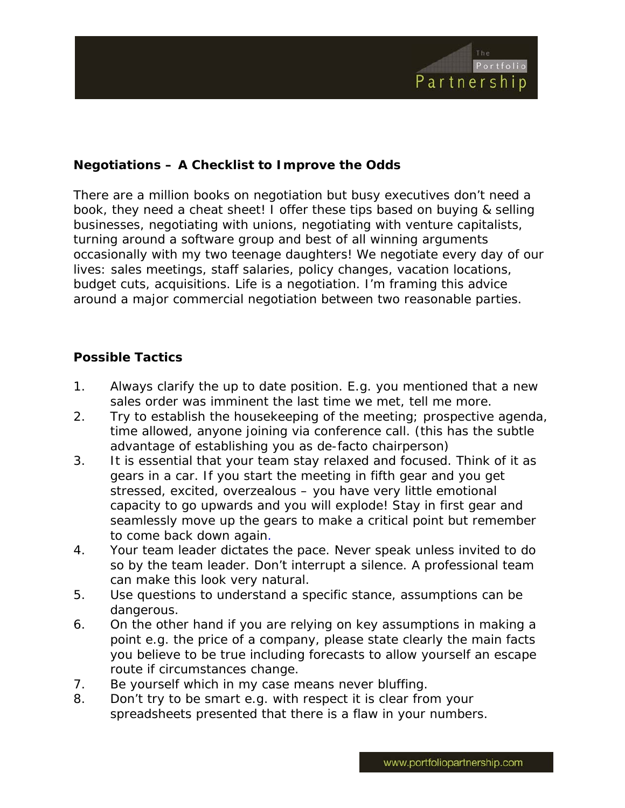

## **Negotiations – A Checklist to Improve the Odds**

There are a million books on negotiation but busy executives don't need a book, they need a cheat sheet! I offer these tips based on buying & selling businesses, negotiating with unions, negotiating with venture capitalists, turning around a software group and best of all winning arguments occasionally with my two teenage daughters! We negotiate every day of our lives: sales meetings, staff salaries, policy changes, vacation locations, budget cuts, acquisitions. Life is a negotiation. I'm framing this advice around a major commercial negotiation between two reasonable parties.

## **Possible Tactics**

- 1. Always clarify the up to date position. E.g. you mentioned that a new sales order was imminent the last time we met, tell me more.
- 2. Try to establish the housekeeping of the meeting; prospective agenda, time allowed, anyone joining via conference call. (this has the subtle advantage of establishing you as de-facto chairperson)
- 3. It is essential that your team stay relaxed and focused. Think of it as gears in a car. If you start the meeting in fifth gear and you get stressed, excited, overzealous – you have very little emotional capacity to go upwards and you will explode! Stay in first gear and seamlessly move up the gears to make a critical point but remember to come back down again.
- 4. Your team leader dictates the pace. Never speak unless invited to do so by the team leader. Don't interrupt a silence. A professional team can make this look very natural.
- 5. Use questions to understand a specific stance, assumptions can be dangerous.
- 6. On the other hand if you are relying on key assumptions in making a point e.g. the price of a company, please state clearly the main facts you believe to be true including forecasts to allow yourself an escape route if circumstances change.
- 7. Be yourself which in my case means never bluffing.
- 8. Don't try to be smart e.g. with respect it is clear from your spreadsheets presented that there is a flaw in your numbers.